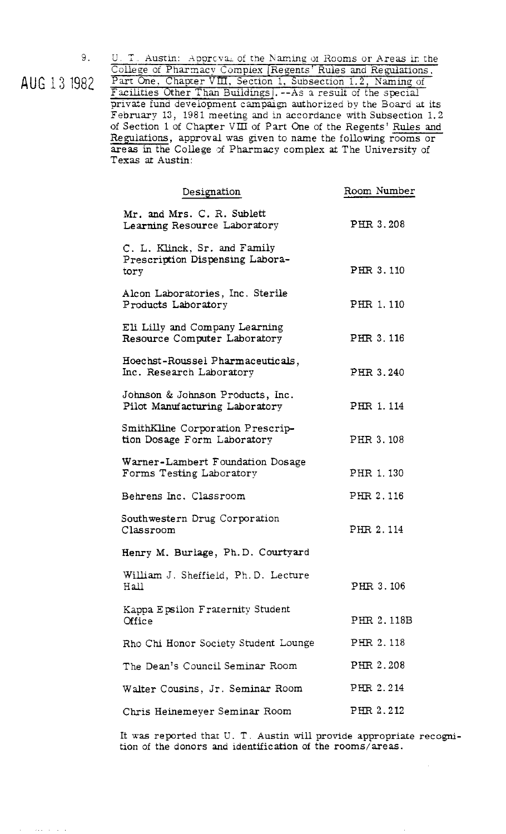9.<br>AUG 13 1982

U. T. Austin: Approval of the Naming of Rooms or Areas in the College of Pharmacy Complex [Regents' Rules and Regulations. Part One, Chapter VIII, Section 1, Subsection 1.2, Naming of Facilities Other Than Buildings]. -- As a result of the special private fund development campaign authorized by the Board at its February 13, 1981 meeting and in accordance with Subsection 1.2 of Section 1 of Chapter VIII of Part One of the Regents' Rules and Regulations, approval **was** gven to name the following rooms or areas in the College of Pharmacy complex at The University of Texas at Austin:

| Designation                                                             | Room Number |
|-------------------------------------------------------------------------|-------------|
| Mr. and Mrs. C. R. Sublett<br>Learning Resource Laboratory              | PHR 3.208   |
| C. L. Klinck, Sr. and Family<br>Prescription Dispensing Labora-<br>tory | PHR 3.110   |
| Alcon Laboratories, Inc. Sterile<br>Products Laboratory                 | PHR 1, 110  |
| Eli Lilly and Company Learning<br>Resource Computer Laboratory          | PHR 3.116   |
| Hoechst-Roussel Pharmaceuticals,<br>Inc. Research Laboratory            | PHR 3.240   |
| Johnson & Johnson Products, Inc.<br>Pilot Manufacturing Laboratory      | PHR 1.114   |
| SmithKline Corporation Prescrip-<br>tion Dosage Form Laboratory         | PHR 3.108   |
| Warner-Lambert Foundation Dosage<br>Forms Testing Laboratory            | PHR 1.130   |
| Behrens Inc. Classroom                                                  | PHR 2.116   |
| Southwestern Drug Corporation<br>Classroom                              | PHR 2.114   |
| Henry M. Burlage, Ph.D. Courtyard                                       |             |
| William J. Sheffield, Ph.D. Lecture<br>Hall                             | PHR 3.106   |
| Kappa Epsilon Fraternity Student<br>Office                              | PHR 2.118B  |
| Rho Chi Honor Society Student Lounge                                    | PHR 2.118   |
| The Dean's Council Seminar Room                                         | PHR 2.208   |
| Walter Cousins, Jr. Seminar Room                                        | PHR 2.214   |
| Chris Heinemeyer Seminar Room                                           | PHR 2.212   |

It **was** reported that U. T. Austin **will** provide appropriate recognition of the donors **and** identification of the rooms/areas.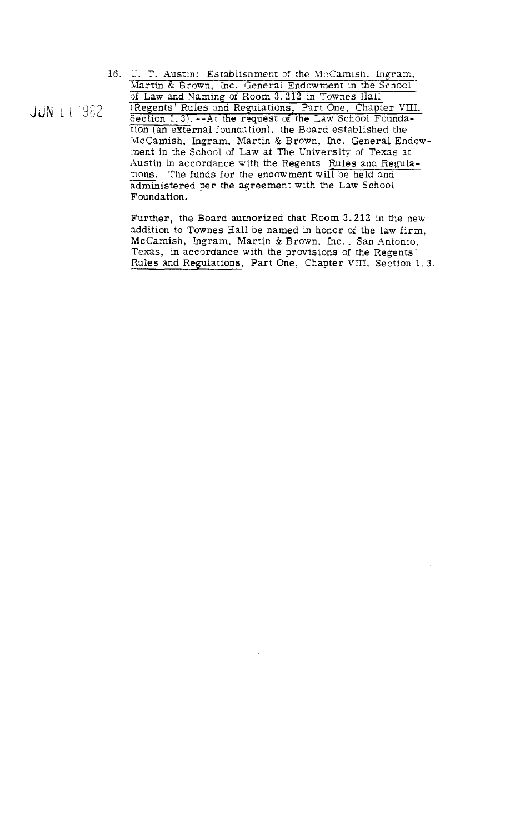16. J. T. Austin: Establishment of the McCamish. Ingram. Martin & Brown, Inc. General Endowment in the School of Law and Naming of Room 3.212 in Townes Hall (Regents' Rules and Regulations, Part One, Chapter VIII, Section 1.3). -- At the request of the Law School Foundation (an external foundation), the Board established the McCamish, Ingram, Martin & Brown, Inc. General Endowment in the School of Law at The University of Texas at Austin in accordance with the Regents' Rules and Regulations. The funds for the endowment will be held and administered per the agreement with the Law School Foundation.

Further, the Board authorized that Room 3.212 in the new addition to Townes Hall be named in honor of the law firm. McCamish, Ingram, Martin & Brown, Inc., San Antonio, Texas, in accordance with the provisions of the Regents' Rules and Regulations, Part One, Chapter VIII, Section 1.3.

**JUN 11 1982**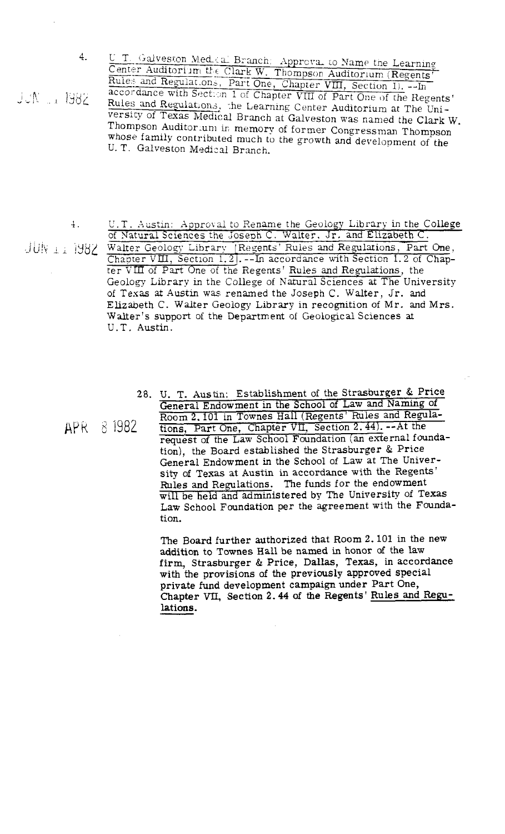4.

UUN 11 1982

U.T. Galveston Med.cal Branch: Approva. to Name the Learning<br>Center Auditorium the Clark W. Thompson Auditorium (Regents'<br>Rules and Regulations, Part One, Chapter VIII, Section 1).  $-\frac{1}{10}$ accordance with Section 1 of Chapter VIII of Part One of the Regents' Rules and Regulations, the Learning Center Auditorium at The University of Texas Medical Branch at Galveston was named the Clark W. Thompson Auditor.um in memory of former Congressman Thompson whose family contributed much to the growth and development of the U. T. Galveston Medical Branch.

 $\ddagger$ .

APR 8 1982

- U.T. Austin: Approval to Rename the Geology Library in the College of Natural Sciences the Joseph C. Walter. Jr. and Elizabeth C. JUN 1: 1982 Walter Geology Library [Regents' Rules and Regulations, Part One, Chapter VIII, Section 1.2]. -- In accordance with Section 1.2 of Chapter VIII of Part One of the Regents' Rules and Regulations, the Geology Library in the College of Natural Sciences at The University of Texas at Austin was renamed the Joseph C. Walter, Jr. and Elizabeth C. Walter Geology Library in recognition of Mr. and Mrs. Walter's support of the Department of Geological Sciences at U.T. Austin.
	- 28. U. T. Austin: Establishment of the Strasburger & Price General Endowment in the School of Law and Naming of Room 2.101 in Townes Hall (Regents' Rules and Regulations, Part One, Chapter VII, Section 2.44). -- At the request of the Law School Foundation (an external foundation), the Board established the Strasburger & Price General Endowment in the School of Law at The University of Texas at Austin in accordance with the Regents' Rules and Regulations. The funds for the endowment will be held and administered by The University of Texas Law School Foundation per the agreement with the Foundation.

The Board further authorized that Room 2.101 in the new addition to Townes Hall be named in honor of the law firm, Strasburger & Price, Dallas, Texas, in accordance<br>with the provisions of the previously approved special private fund development campaign under Part One, Chapter VII, Section 2.44 of the Regents' Rules and Regulations.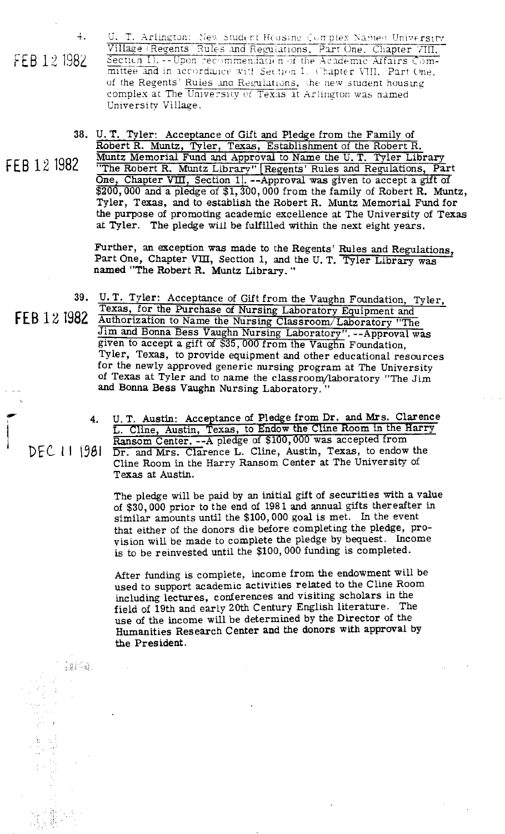4.

FEB 12 1982

U. T. Arlington: New Student Heasing Complex Names University Village (Regents Rules and Regulations, Part One, Chapter VIII, mittee and in accordance with Section 1. Chapter VIII, Part One, of the Regents' Rules and Regulations, the new student housing complex at The University of Texas at Arlington was named University Village.

U. T. Tyler: Acceptance of Gift **and** Pledge from the Family of

FEB 12,1982

Robert R. Muntz, Tyler, Texas, Establishment of the Robert R. Muntz Memorial Fund and Approval to Name the U. T. Tyler Library "The Robert R. Muntz Library" Regents' Rules and Regulations, Part. One, Chapter VIII, Section 11. --Approval **was** given to accept a grft of \$200,000 and a pledge of \$1,300,000 from the family of Robert R. Muntz, Tyler, Texas, and to establish the Robert R. Muntz Memorial Fund for the purpose of promoting academic excellence at The University of Texas **at** Tyler. The pledge **will** be fulfilled within the next eight years.

Further, an exception was made to the Regents' Rules and Regulations, Part One, Chapter VIII, Section 1, and the U.T. Tyler Library was named "The Robert R. Muntz Library. "

 $39.$ U. T. Tyler: Acceptance of Gift from the Vaughn Foundation, Tyler, Texas, for the Purchase of Nursing Laboratory Equipment and FEB 12 1982 Authorization to Name the Nursing Classroom/Laboratory "The Jim and Bonna Bess Vaughn Nursing Laboratory". --Approval was given to accept a gift of \$35,000 from the Vauehn Foundation. Tyler, Texas, to provide equipment and other educational resources for the newly approved generic nursing program at The University of Texas at Tyler and to name the classroom/laboratory "The Jim and Bonna Bess Vaughn Nursing Laboratory. " rr<br>C

4. U. T. Austin: Acceptance of Pledge from Dr. and Mrs. Clarence<br>
L. Cline, Austin, Texas, to Endow the Cline Room in the Harry<br> **Repeated From Center** -- A pledge of \$100,000 was accepted from **i**<br>Ransom Center. --A pledge of \$100,000 was accepted from<br>NEC 111641 Ransom Cline, August Force, to order DEC 11 **\981** <u>Dr. and Mrs. Clarence L. Cline</u>, Austin, Texas, to endow the Cline Room in the Harry Ransom Center at The University of Texas at Austin.

> The pledge will be paid by an initial gift of securities with a value of \$30,000 prior to the end of 198 1 **and** annual gifts thereafter in similar amounts until the \$100,000 goal is met. In the event that either of the donors die before completing the pledge, provision will be made to complete the pledge by bequest. Income is to be reinvested until the \$100,000 funding is completed.

After funding is complete, income from the endowment will be used to support academic activities related to the Cline Room including lectures, conferences and visiting scholars in the field of 19th and early 20th Century English literature. The use of the income will be determined by the Director of the Humanities Research Center and the donors with approval by the President.

:是[字母]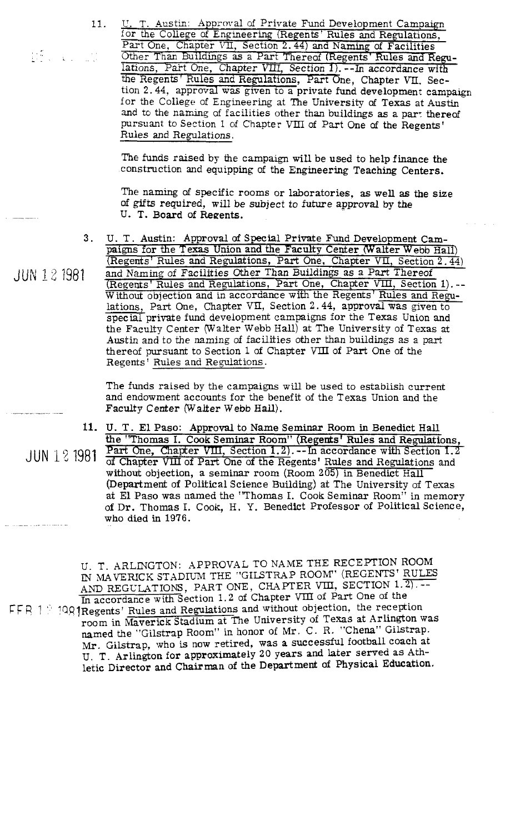$\widetilde{\mathbf{B}}$  ,  $\mathbf{A}$  ,  $\widetilde{\mathbf{B}}$ 

11.

U. T. Austin: Approval of Private Fund Development Campaign for the College of Engineering (Regents' Rules and Regulations, <u>U. T. Austin: Approval of Private Fund Development Campaigr for the College of Engineering (Regents' Rules and Regulations, Part One, Chapter VII, Section 2.44) and Naming of Facilities</u> U. T. Austin: Approval of Private Fund Development Campaign<br>for the College of Engineering (Regents' Rules and Regulations,<br>Part One, Chapter VII, Section 2.44) and Naming of Facilities<br>Other Than Buildings as a Part There the Regents' Rules and Regulations, Part One, Chapter VII. Section 2.44, approval was given to a private fund development campaign for the College of Engineering at The University of Texas at Austin and to the naming of facilities other than buildings as a part thereof pursuant to Section 1 of Chapter VIII of Part One of the Regents' Rules and Regulations.

The funds raised by the campaign **will** be used to help finance the construction and equipping of the Engineering Teaching Centers.

The naming of specific rooms or laboratories, as well as the size of **gifts** required, will be subject to future approval by **the**  U. T. Board of Regents.

U. T. Austin: Approval of Special Private Fund Development **Cam-** $3<sub>1</sub>$ paigns for the Texas Union and the Faculty Center (Walter Webb Hall) (Regents1 Rules and Regulations, Part One, Chapter VII, Section **2.44)** 

and Naming of Facilities Other Than Buildings as a Part Thereof (Regents' Rules and Regulations, Part One, Chapter VIII, Section 1).--Without objection and in accordance with the Regents' Rules and Regu-The naming of s<br>of gifts require<br>U. T. Board of<br>U. T. Austin: Ap<br>paigns for the Tex<br>(Regents' Rules and Naming of Fac<br>(Regents' Rules and Without objection<br>lations, Part One,<br>special private function<br>the Faculty Center<br>Aus lations. Part One, Chapter VII, Section 2.44, approval was given to  $speci$  private fund development campaigns for the Texas Union and the Faculty Center (Walter Webb Hall) at The University of Texas at Austin and to the naming of facilities other than buildings as a part thereof pursuant to Section 1 of Chapter VIII of Part One of the Regents' Rules and Regulations.

> The funds raised by the campaigns will be used to establish current and endowment accounts for the benefit of the Texas Union and the Faculty Center (Walter Webb **Hall).**

JUN 12 1981 **U. T. El** Paso: Approval to Name Seminar Room in Benedict Hall the "Thomas I. Part One, Cha of Chapter VLU of Part One of the Regents' Rules and Regulations and without objection, a seminar room (Room 205) in Benedict Hall (Department of Political Science Building) at The University of Texas at **El** Paso was named the 'Thomas I. Cook Seminar Room" in memory of Dr. Thomas I. Cook, H. Y. Benedict Professor of Political Science, who died in 1976.

U. T. ARLINGTON: APPROVAL TO NAME THE RECEPTION ROOM IN MAVERICK STADIUM THE "GILSTRAP ROOM" (REGENTS ROLES AND REGULATIONS, PART ONE, CHAPTER VIII, SECTION 1.2).--In accordance with Section 1.2 of Chapter Vm of Part One of the FFR 1 9499 Regents' Rules and Regulations and without objection, the reception room in Maverick Stadium at The University of Texas at Arlington was named the "Gilstrap Room" in honor of Mr. C. R. "Chena" Gilstrap. Mr. Gilstrap, who is **now** retired, was a successful football coach at U. T. Arlington for approximately 20 years and later served as Athletic Director and **Chairman** of the Department of Physical Education.

JUN 12 1981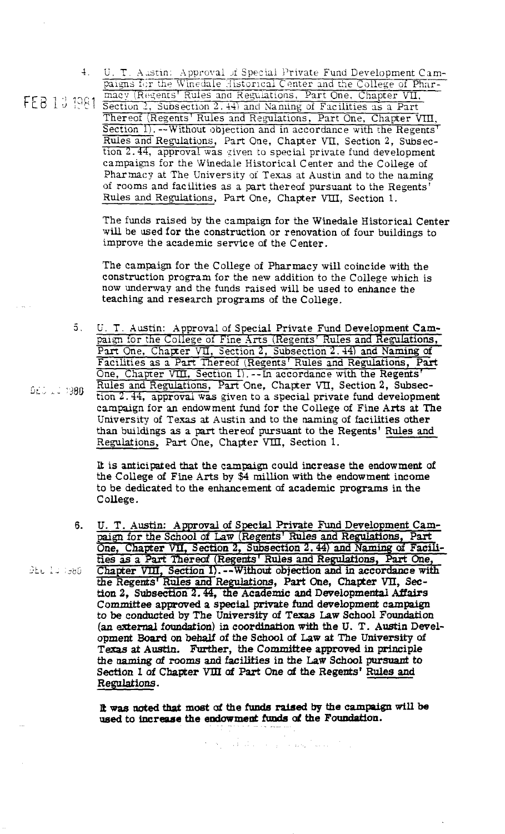4. U. T. Aastin: Approval of Special Private Fund Development Campaigns for the Winedale Historical Center and the College of Phar-<br>FEB 13 1981 Section 2, Subsection 2.44) and Naming of Facilities as a Part

Thereof (Regents' Rules and Regulations, Part One, Chapter VIII, Section 1). -- Without objection and in accordance with the Regents' Rules and Regulations, Part One, Chapter VII, Section 2, Subsection 2.44, approval was given to special private fund development campaigns for the Winedale Historical Center and the College of Pharmacy at The University of Texas at Austin and to the naming of rooms and facilities as a part thereof pursuant to the Regents' Rules and Regulations, Part One, Chapter VIII, Section 1.

The funds raised by the campaign for the Winedale Historical Center will be used for the construction or renovation of four buildings to improve the academic service of the Center.

The campaign for the College of Pharmacy will coincide with the construction program for the new addition to the College which is now underway and the funds raised will be used to enhance the teaching and research programs of the College.

U. T. Austin: Approval of Special Private Fund Development Campaign for the College of Fine Arts (Regents' Rules and Regulations, Part One, Chapter VII, Section 2, Subsection 2.44) and Naming of Facilities as a Part Thereo  $5.$ One, Chapter VIII, Section 1). -- In accordance with the Regents' Rules and Regulations, Part One, Chapter VII, Section 2, Subsection 2.44, approval was given to a special private fund development campaign for an endowment fund for the College of Fine Arts at The University of Texas at Austin and to the naming of facilities other than buildings as a part thereof pursuant to the Regents' Rules and Regulations, Part One, Chapter VIII, Section 1.

It is anticipated that the campaign could increase the endowment of the College of Fine Arts by \$4 million with the endowment income to be dedicated to the enhancement of academic programs in the College.

U. T. Austin: Approval of Special Private Fund Development Cam-6. paign for the School of Law (Regents' Rules and Regulations, Part One, Chapter VII, Section 2, Subsection 2.44) and Naming of Facilities as a Part Thereof (Regents' Rules and Regulations, Part One, Chapter VIII, Section 1). -- Without objection and in accordance with the Regents' Rules and Regulations, Part One, Chapter VII, Section 2, Subsection 2.44, the Academic and Developmental Affairs Committee approved a special private fund development campaign to be conducted by The University of Texas Law School Foundation (an external foundation) in coordination with the U.T. Austin Development Board on behalf of the School of Law at The University of Texas at Austin. Further, the Committee approved in principle the naming of rooms and facilities in the Law School pursuant to Section 1 of Chapter VIII of Part One of the Regents' Rules and Regulations.

It was noted that most of the funds raised by the campaign will be used to increase the endowment funds of the Foundation.

الموالي المتعمل والعقوب الموارد والمتكلم فأورد والإلانات

**DEC 12 1980** 

DEU 12 7380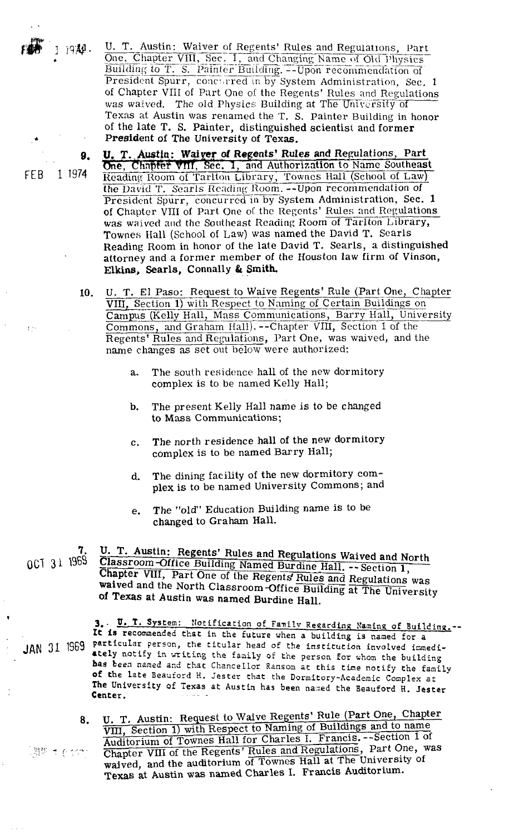U. T. Austin: Waiver of Regents' Rules and Regulations, Part One, Chapter VIII, Sec. 1, and Changing Name of Old Physics Building to T. S. Painter Building. -- Upon recommendation of President Spurr, concurred in by System Administration. Sec. 1 of Chapter VIII of Part One of the Regents' Rules and Regulations was waived. The old Physics Building at The University of Texas at Austin was renamed the T. S. Painter Building in honor of the late T. S. Painter, distinguished scientist and former President of The University of Texas.

T. Austin: Waiver of Regents' Rules and Regulations, Part One, Chapter VIII, Sec. 1, and Authorization to Name Southeast Reading Room of Tarlton Library, Townes Hall (School of Law)<br>the David T. Searls Reading Room. --Upon recommendation of President Spurr, concurred in by System Administration, Sec. 1 of Chapter VIII of Part One of the Regents' Rules and Regulations was waived and the Southeast Reading Room of Tarlton Library, Townes Hall (School of Law) was named the David T. Searls Reading Room in honor of the late David T. Searls, a distinguished attorney and a former member of the Houston law firm of Vinson, Elkins, Searls, Connally & Smith.

- U. T. El Paso: Request to Waive Regents' Rule (Part One, Chapter 10. VIII, Section 1) with Respect to Naming of Certain Buildings on Campus (Kelly Hall, Mass Communications, Barry Hall, University Commons, and Graham Hall). -- Chapter VIII, Section 1 of the Regents' Rules and Regulations, Part One, was waived, and the name changes as set out below were authorized:
	- The south residence hall of the new dormitory a. complex is to be named Kelly Hall;
	- The present Kelly Hall name is to be changed b. to Mass Communications;
	- The north residence hall of the new dormitory  $\mathbf{c}$ . complex is to be named Barry Hall;
	- The dining facility of the new dormitory comd. plex is to be named University Commons; and
	- The "old" Education Building name is to be e. changed to Graham Hall.

U. T. Austin: Regents' Rules and Regulations Waived and North 0CT 31 1969 Classroom-Office Building Named Burdine Hall. -- Section 1, Chapter VIII, Part One of the Regents Rules and Regulations was waived and the North Classroom-Office Building at The University of Texas at Austin was named Burdine Hall.

. U. T. System: Notification of Family Regarding Naming of Building. --It is recommended that in the future when a building is named for a JAN 31 1969 particular person, the titular head of the institution involved immediately notify in writing the family of the person for whom the building bas been named and that Chancellor Ransom at this time notify the family of the late Beauford H. Jester that the Dormitory-Academic Complex at The University of Texas at Austin has been named the Beauford H. Jester Center.

U. T. Austin: Request to Waive Regents' Rule (Part One, Chapter 8. VIII, Section 1) with Respect to Naming of Buildings and to name Auditorium of Townes Hall for Charles I. Francis. -- Section 1 of Chapter VIII of the Regents' Rules and Regulations, Part One, was 【問題 すぞ イイアド waived, and the auditorium of Townes Hall at The University of Texas at Austin was named Charles I. Francis Auditorium.

1 1974 FEB.

1 1941.

9.